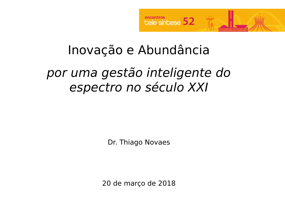

# Inovação e Abundância

## por uma gestão inteligente do espectro no século XXI

Dr. Thiago Novaes

20 de março de 2018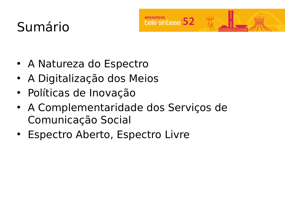# Sumário



- A Natureza do Espectro
- A Digitalização dos Meios
- Políticas de Inovação
- A Complementaridade dos Serviços de Comunicação Social
- Espectro Aberto, Espectro Livre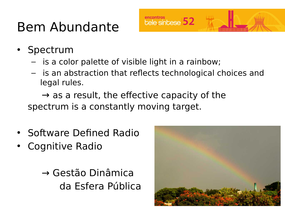# Bem Abundante

- Spectrum
	- is a color palette of visible light in a rainbow;
	- is an abstraction that reflects technological choices and legal rules.

encontros<br>
Lele síntese 52

 $\rightarrow$  as a result, the effective capacity of the spectrum is a constantly moving target.

- Software Defined Radio
- Cognitive Radio

→ Gestão Dinâmica da Esfera Pública

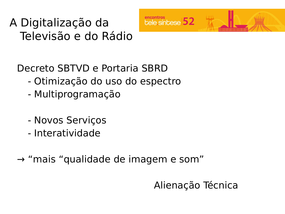### A Digitalização da Televisão e do Rádio



Decreto SBTVD e Portaria SBRD

- Otimização do uso do espectro
- Multiprogramação
- Novos Serviços
- Interatividade
- → "mais "qualidade de imagem e som"

Alienação Técnica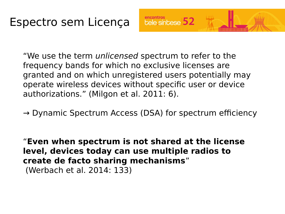"We use the term *unlicensed* spectrum to refer to the frequency bands for which no exclusive licenses are granted and on which unregistered users potentially may operate wireless devices without specific user or device authorizations." (Milgon et al. 2011: 6).

encontros<br>
bele sínbese 52

 $\rightarrow$  Dynamic Spectrum Access (DSA) for spectrum efficiency

"**Even when spectrum is not shared at the license level, devices today can use multiple radios to create de facto sharing mechanisms**" (Werbach et al. 2014: 133)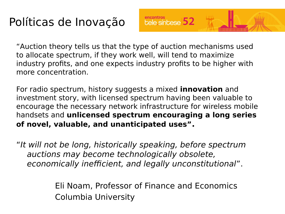## Políticas de Inovação

"Auction theory tells us that the type of auction mechanisms used to allocate spectrum, if they work well, will tend to maximize industry profits, and one expects industry profits to be higher with more concentration.

encontros<br>
Lele sín Lese 52

For radio spectrum, history suggests a mixed **innovation** and investment story, with licensed spectrum having been valuable to encourage the necessary network infrastructure for wireless mobile handsets and **unlicensed spectrum encouraging a long series of novel, valuable, and unanticipated uses".**

"It will not be long, historically speaking, before spectrum auctions may become technologically obsolete, economically inefficient, and legally unconstitutional".

> Eli Noam, Professor of Finance and Economics Columbia University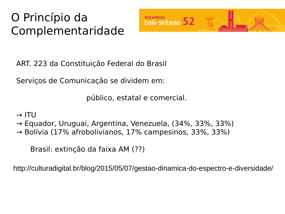## O Princípio da Complementaridade



ART. 223 da Constituição Federal do Brasil

Serviços de Comunicação se dividem em:

público, estatal e comercial.

#### $\rightarrow$  ITU

- → Equador, Uruguai, Argentina, Venezuela, (34%, 33%, 33%)
- $\rightarrow$  Bolívia (17% afrobolivianos, 17% campesinos, 33%, 33%)

Brasil: extinção da faixa AM (??)

http://culturadigital.br/blog/2015/05/07/gestao-dinamica-do-espectro-e-diversidade/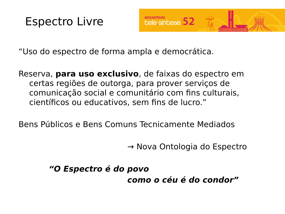



"Uso do espectro de forma ampla e democrática.

Reserva, **para uso exclusivo**, de faixas do espectro em certas regiões de outorga, para prover serviços de comunicação social e comunitário com fins culturais, científicos ou educativos, sem fins de lucro."

Bens Públicos e Bens Comuns Tecnicamente Mediados

→ Nova Ontologia do Espectro

 **"O Espectro é do povo como o céu é do condor"**